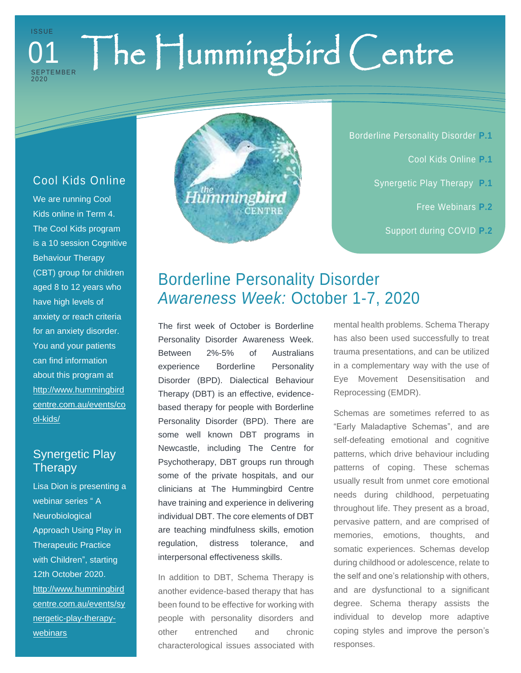#### The Hummingbird Centre **ISSUE SEPTEMBER** 20 2 0 01

### Cool Kids Online

We are running Cool Kids online in Term 4. The Cool Kids program is a 10 session Cognitive Behaviour Therapy (CBT) group for children aged 8 to 12 years who have high levels of anxiety or reach criteria for an anxiety disorder. You and your patients can find information about this program at [http://www.hummingbird](http://www.hummingbirdcentre.com.au/events/cool-kids/) [centre.com.au/events/co](http://www.hummingbirdcentre.com.au/events/cool-kids/) [ol-kids/](http://www.hummingbirdcentre.com.au/events/cool-kids/)

## Synergetic Play **Therapy**

Lisa Dion is presenting a webinar series "A **Neurobiological** Approach Using Play in Therapeutic Practice with Children", starting 12th October 2020. [http://www.hummingbird](http://www.hummingbirdcentre.com.au/events/synergetic-play-therapy-webinars) [centre.com.au/events/sy](http://www.hummingbirdcentre.com.au/events/synergetic-play-therapy-webinars) [nergetic-play-therapy](http://www.hummingbirdcentre.com.au/events/synergetic-play-therapy-webinars)[webinars](http://www.hummingbirdcentre.com.au/events/synergetic-play-therapy-webinars)



Borderline Personality Disorder **P.1**

- Cool Kids Online **P.1**
- Synergetic Play Therapy **P.1**
	- Free Webinars **P.2**
	- Support during COVID **P.2**

# Borderline Personality Disorder *Awareness Week:* October 1-7, 2020

The first week of October is Borderline Personality Disorder Awareness Week. Between 2%-5% of Australians experience Borderline Personality Disorder (BPD). Dialectical Behaviour Therapy (DBT) is an effective, evidencebased therapy for people with Borderline Personality Disorder (BPD). There are some well known DBT programs in Newcastle, including The Centre for Psychotherapy, DBT groups run through some of the private hospitals, and our clinicians at The Hummingbird Centre have training and experience in delivering individual DBT. The core elements of DBT are teaching mindfulness skills, emotion regulation, distress tolerance, and interpersonal effectiveness skills.

In addition to DBT, Schema Therapy is another evidence-based therapy that has been found to be effective for working with people with personality disorders and other entrenched and chronic characterological issues associated with mental health problems. Schema Therapy has also been used successfully to treat trauma presentations, and can be utilized in a complementary way with the use of Eye Movement Desensitisation and Reprocessing (EMDR).

Schemas are sometimes referred to as "Early Maladaptive Schemas", and are self-defeating emotional and cognitive patterns, which drive behaviour including patterns of coping. These schemas usually result from unmet core emotional needs during childhood, perpetuating throughout life. They present as a broad, pervasive pattern, and are comprised of memories, emotions, thoughts, and somatic experiences. Schemas develop during childhood or adolescence, relate to the self and one's relationship with others, and are dysfunctional to a significant degree. Schema therapy assists the individual to develop more adaptive coping styles and improve the person's responses.